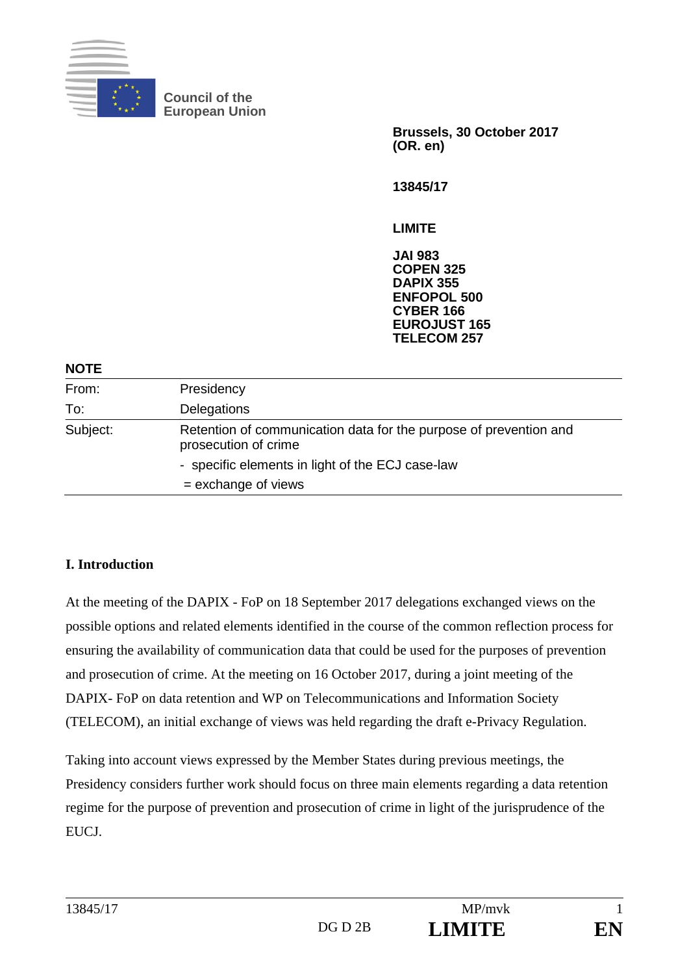

**Council of the European Union** 

> **Brussels, 30 October 2017 (OR. en)**

**13845/17** 

**LIMITE** 

**JAI 983 COPEN 325 DAPIX 355 ENFOPOL 500 CYBER 166 EUROJUST 165 TELECOM 257**

#### **NOTE**

| .        |                                                                                           |
|----------|-------------------------------------------------------------------------------------------|
| From:    | Presidency                                                                                |
| To:      | Delegations                                                                               |
| Subject: | Retention of communication data for the purpose of prevention and<br>prosecution of crime |
|          | - specific elements in light of the ECJ case-law                                          |
|          | $=$ exchange of views                                                                     |

#### **I. Introduction**

At the meeting of the DAPIX - FoP on 18 September 2017 delegations exchanged views on the possible options and related elements identified in the course of the common reflection process for ensuring the availability of communication data that could be used for the purposes of prevention and prosecution of crime. At the meeting on 16 October 2017, during a joint meeting of the DAPIX- FoP on data retention and WP on Telecommunications and Information Society (TELECOM), an initial exchange of views was held regarding the draft e-Privacy Regulation.

Taking into account views expressed by the Member States during previous meetings, the Presidency considers further work should focus on three main elements regarding a data retention regime for the purpose of prevention and prosecution of crime in light of the jurisprudence of the EUCJ.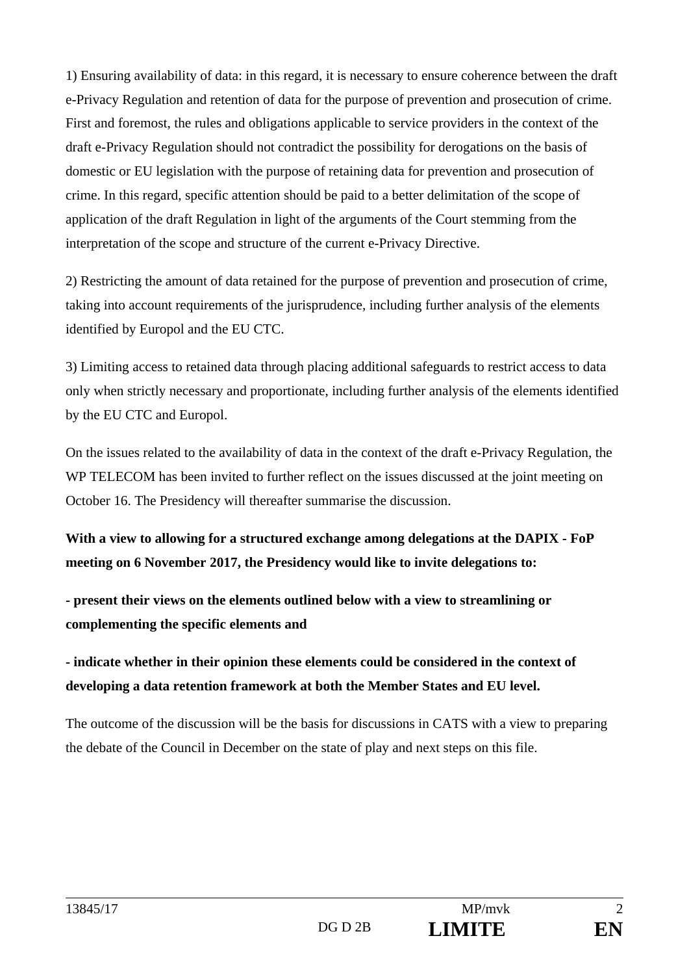1) Ensuring availability of data: in this regard, it is necessary to ensure coherence between the draft e-Privacy Regulation and retention of data for the purpose of prevention and prosecution of crime. First and foremost, the rules and obligations applicable to service providers in the context of the draft e-Privacy Regulation should not contradict the possibility for derogations on the basis of domestic or EU legislation with the purpose of retaining data for prevention and prosecution of crime. In this regard, specific attention should be paid to a better delimitation of the scope of application of the draft Regulation in light of the arguments of the Court stemming from the interpretation of the scope and structure of the current e-Privacy Directive.

2) Restricting the amount of data retained for the purpose of prevention and prosecution of crime, taking into account requirements of the jurisprudence, including further analysis of the elements identified by Europol and the EU CTC.

3) Limiting access to retained data through placing additional safeguards to restrict access to data only when strictly necessary and proportionate, including further analysis of the elements identified by the EU CTC and Europol.

On the issues related to the availability of data in the context of the draft e-Privacy Regulation, the WP TELECOM has been invited to further reflect on the issues discussed at the joint meeting on October 16. The Presidency will thereafter summarise the discussion.

**With a view to allowing for a structured exchange among delegations at the DAPIX - FoP meeting on 6 November 2017, the Presidency would like to invite delegations to:** 

**- present their views on the elements outlined below with a view to streamlining or complementing the specific elements and** 

# **- indicate whether in their opinion these elements could be considered in the context of developing a data retention framework at both the Member States and EU level.**

The outcome of the discussion will be the basis for discussions in CATS with a view to preparing the debate of the Council in December on the state of play and next steps on this file.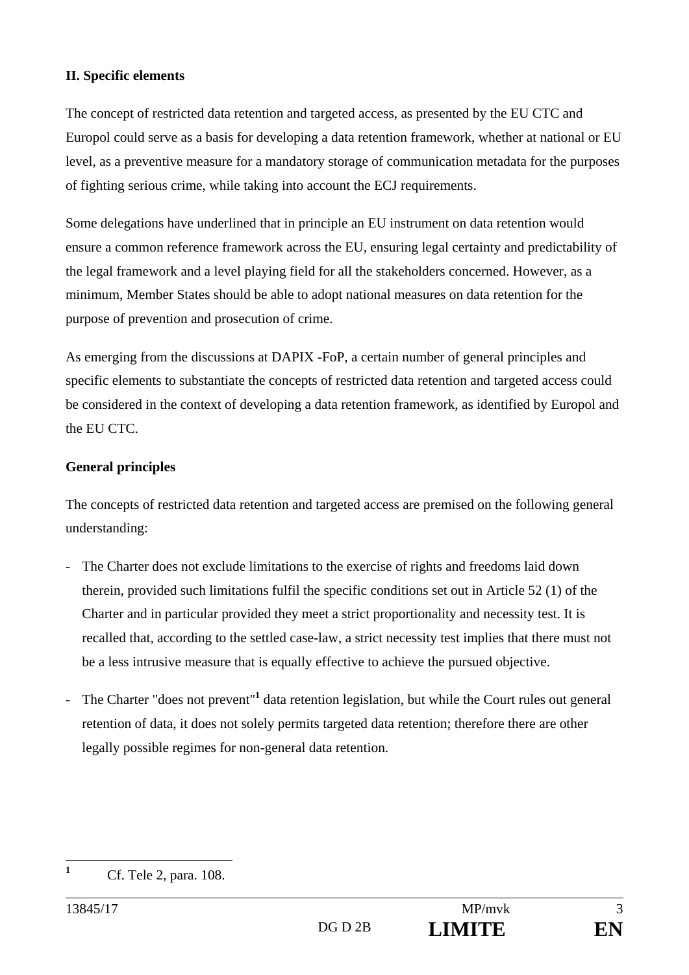## **II. Specific elements**

The concept of restricted data retention and targeted access, as presented by the EU CTC and Europol could serve as a basis for developing a data retention framework, whether at national or EU level, as a preventive measure for a mandatory storage of communication metadata for the purposes of fighting serious crime, while taking into account the ECJ requirements.

Some delegations have underlined that in principle an EU instrument on data retention would ensure a common reference framework across the EU, ensuring legal certainty and predictability of the legal framework and a level playing field for all the stakeholders concerned. However, as a minimum, Member States should be able to adopt national measures on data retention for the purpose of prevention and prosecution of crime.

As emerging from the discussions at DAPIX -FoP, a certain number of general principles and specific elements to substantiate the concepts of restricted data retention and targeted access could be considered in the context of developing a data retention framework, as identified by Europol and the EU CTC.

### **General principles**

The concepts of restricted data retention and targeted access are premised on the following general understanding:

- The Charter does not exclude limitations to the exercise of rights and freedoms laid down therein, provided such limitations fulfil the specific conditions set out in Article 52 (1) of the Charter and in particular provided they meet a strict proportionality and necessity test. It is recalled that, according to the settled case-law, a strict necessity test implies that there must not be a less intrusive measure that is equally effective to achieve the pursued objective.
- The Charter "does not prevent"<sup>1</sup> data retention legislation, but while the Court rules out general retention of data, it does not solely permits targeted data retention; therefore there are other legally possible regimes for non-general data retention.

**1**

Cf. Tele 2, para. 108.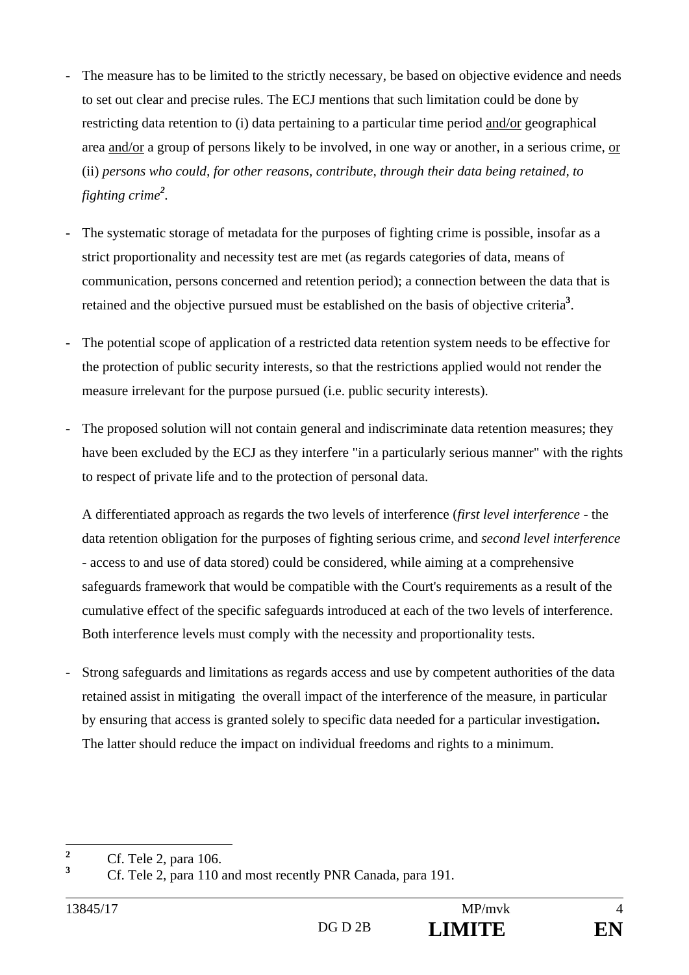- The measure has to be limited to the strictly necessary, be based on objective evidence and needs to set out clear and precise rules. The ECJ mentions that such limitation could be done by restricting data retention to (i) data pertaining to a particular time period and/or geographical area and/or a group of persons likely to be involved, in one way or another, in a serious crime, or (ii) *persons who could, for other reasons, contribute, through their data being retained, to fighting crime<sup>2</sup> .*
- The systematic storage of metadata for the purposes of fighting crime is possible, insofar as a strict proportionality and necessity test are met (as regards categories of data, means of communication, persons concerned and retention period); a connection between the data that is retained and the objective pursued must be established on the basis of objective criteria**<sup>3</sup>** .
- The potential scope of application of a restricted data retention system needs to be effective for the protection of public security interests, so that the restrictions applied would not render the measure irrelevant for the purpose pursued (i.e. public security interests).
- The proposed solution will not contain general and indiscriminate data retention measures; they have been excluded by the ECJ as they interfere "in a particularly serious manner" with the rights to respect of private life and to the protection of personal data.

A differentiated approach as regards the two levels of interference (*first level interference* - the data retention obligation for the purposes of fighting serious crime, and *second level interference* - access to and use of data stored) could be considered, while aiming at a comprehensive safeguards framework that would be compatible with the Court's requirements as a result of the cumulative effect of the specific safeguards introduced at each of the two levels of interference. Both interference levels must comply with the necessity and proportionality tests.

- Strong safeguards and limitations as regards access and use by competent authorities of the data retained assist in mitigating the overall impact of the interference of the measure, in particular by ensuring that access is granted solely to specific data needed for a particular investigation**.**  The latter should reduce the impact on individual freedoms and rights to a minimum.

 **2** Cf. Tele 2, para 106.

**<sup>3</sup>** Cf. Tele 2, para 110 and most recently PNR Canada, para 191.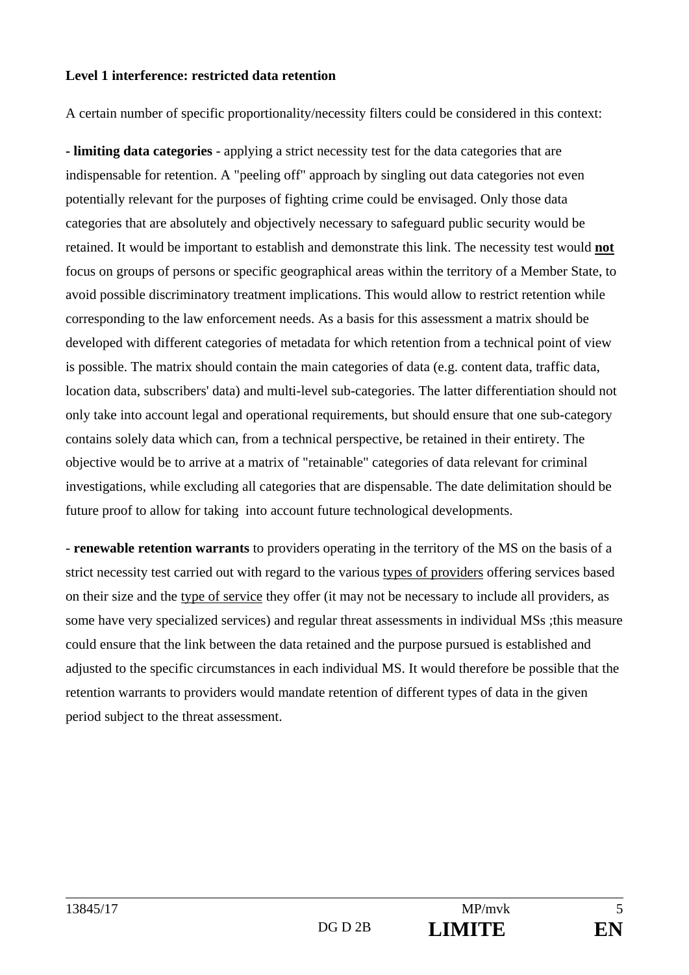#### **Level 1 interference: restricted data retention**

A certain number of specific proportionality/necessity filters could be considered in this context:

**- limiting data categories** - applying a strict necessity test for the data categories that are indispensable for retention. A "peeling off" approach by singling out data categories not even potentially relevant for the purposes of fighting crime could be envisaged. Only those data categories that are absolutely and objectively necessary to safeguard public security would be retained. It would be important to establish and demonstrate this link. The necessity test would **not**  focus on groups of persons or specific geographical areas within the territory of a Member State, to avoid possible discriminatory treatment implications. This would allow to restrict retention while corresponding to the law enforcement needs. As a basis for this assessment a matrix should be developed with different categories of metadata for which retention from a technical point of view is possible. The matrix should contain the main categories of data (e.g. content data, traffic data, location data, subscribers' data) and multi-level sub-categories. The latter differentiation should not only take into account legal and operational requirements, but should ensure that one sub-category contains solely data which can, from a technical perspective, be retained in their entirety. The objective would be to arrive at a matrix of "retainable" categories of data relevant for criminal investigations, while excluding all categories that are dispensable. The date delimitation should be future proof to allow for taking into account future technological developments.

- **renewable retention warrants** to providers operating in the territory of the MS on the basis of a strict necessity test carried out with regard to the various types of providers offering services based on their size and the type of service they offer (it may not be necessary to include all providers, as some have very specialized services) and regular threat assessments in individual MSs ;this measure could ensure that the link between the data retained and the purpose pursued is established and adjusted to the specific circumstances in each individual MS. It would therefore be possible that the retention warrants to providers would mandate retention of different types of data in the given period subject to the threat assessment.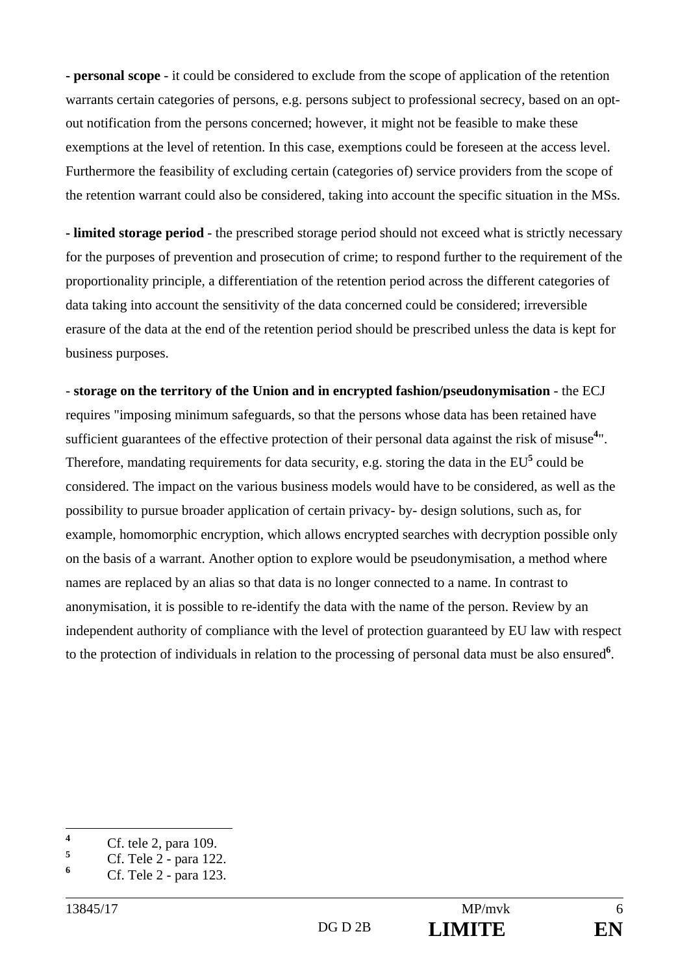**- personal scope** - it could be considered to exclude from the scope of application of the retention warrants certain categories of persons, e.g. persons subject to professional secrecy, based on an optout notification from the persons concerned; however, it might not be feasible to make these exemptions at the level of retention. In this case, exemptions could be foreseen at the access level. Furthermore the feasibility of excluding certain (categories of) service providers from the scope of the retention warrant could also be considered, taking into account the specific situation in the MSs.

**- limited storage period** - the prescribed storage period should not exceed what is strictly necessary for the purposes of prevention and prosecution of crime; to respond further to the requirement of the proportionality principle, a differentiation of the retention period across the different categories of data taking into account the sensitivity of the data concerned could be considered; irreversible erasure of the data at the end of the retention period should be prescribed unless the data is kept for business purposes.

- **storage on the territory of the Union and in encrypted fashion/pseudonymisation** - the ECJ requires "imposing minimum safeguards, so that the persons whose data has been retained have sufficient guarantees of the effective protection of their personal data against the risk of misuse**<sup>4</sup>** ". Therefore, mandating requirements for data security, e.g. storing the data in the EU<sup>5</sup> could be considered. The impact on the various business models would have to be considered, as well as the possibility to pursue broader application of certain privacy- by- design solutions, such as, for example, homomorphic encryption, which allows encrypted searches with decryption possible only on the basis of a warrant. Another option to explore would be pseudonymisation, a method where names are replaced by an alias so that data is no longer connected to a name. In contrast to anonymisation, it is possible to re-identify the data with the name of the person. Review by an independent authority of compliance with the level of protection guaranteed by EU law with respect to the protection of individuals in relation to the processing of personal data must be also ensured**<sup>6</sup>** .

 **4** Cf. tele 2, para 109.

**<sup>5</sup>** Cf. Tele 2 - para 122.

**<sup>6</sup>** Cf. Tele 2 - para 123.